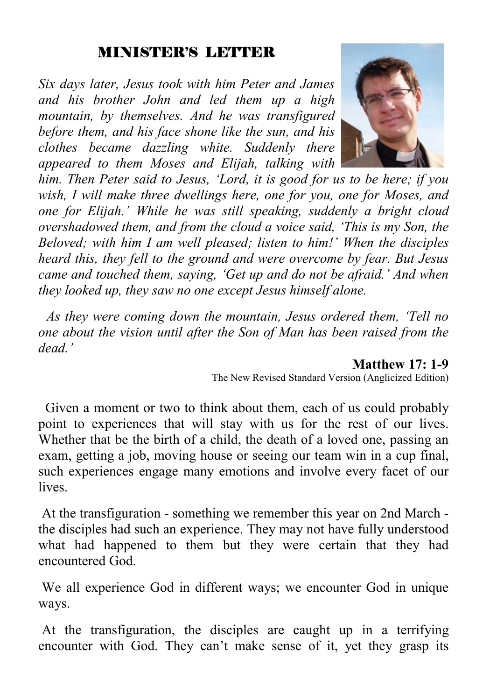#### MINISTER'S LETTER

*Six days later, Jesus took with him Peter and James and his brother John and led them up a high mountain, by themselves. And he was transfigured before them, and his face shone like the sun, and his clothes became dazzling white. Suddenly there appeared to them Moses and Elijah, talking with* 



*him. Then Peter said to Jesus, 'Lord, it is good for us to be here; if you wish, I will make three dwellings here, one for you, one for Moses, and one for Elijah.' While he was still speaking, suddenly a bright cloud overshadowed them, and from the cloud a voice said, 'This is my Son, the Beloved; with him I am well pleased; listen to him!' When the disciples heard this, they fell to the ground and were overcome by fear. But Jesus came and touched them, saying, 'Get up and do not be afraid.' And when they looked up, they saw no one except Jesus himself alone.* 

 *As they were coming down the mountain, Jesus ordered them, 'Tell no one about the vision until after the Son of Man has been raised from the dead.'* 

#### **Matthew 17: 1-9**

The New Revised Standard Version (Anglicized Edition)

 Given a moment or two to think about them, each of us could probably point to experiences that will stay with us for the rest of our lives. Whether that be the birth of a child, the death of a loved one, passing an exam, getting a job, moving house or seeing our team win in a cup final, such experiences engage many emotions and involve every facet of our **lives** 

 At the transfiguration - something we remember this year on 2nd March the disciples had such an experience. They may not have fully understood what had happened to them but they were certain that they had encountered God.

 We all experience God in different ways; we encounter God in unique ways.

 At the transfiguration, the disciples are caught up in a terrifying encounter with God. They can't make sense of it, yet they grasp its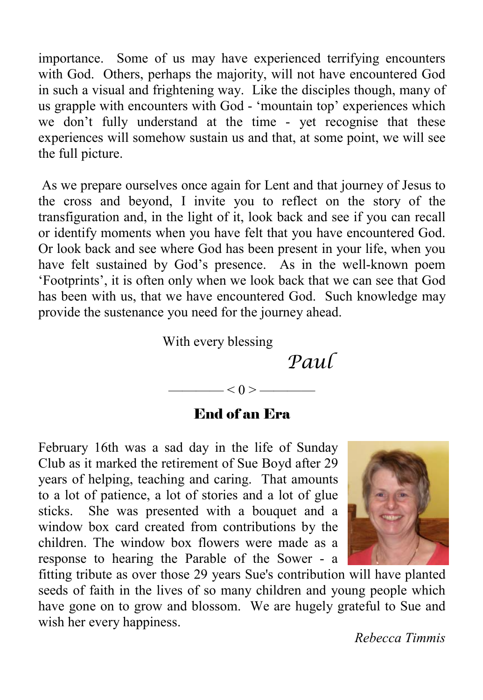importance. Some of us may have experienced terrifying encounters with God. Others, perhaps the majority, will not have encountered God in such a visual and frightening way. Like the disciples though, many of us grapple with encounters with God - 'mountain top' experiences which we don't fully understand at the time - yet recognise that these experiences will somehow sustain us and that, at some point, we will see the full picture.

 As we prepare ourselves once again for Lent and that journey of Jesus to the cross and beyond, I invite you to reflect on the story of the transfiguration and, in the light of it, look back and see if you can recall or identify moments when you have felt that you have encountered God. Or look back and see where God has been present in your life, when you have felt sustained by God's presence. As in the well-known poem 'Footprints', it is often only when we look back that we can see that God has been with us, that we have encountered God. Such knowledge may provide the sustenance you need for the journey ahead.

With every blessing

 *Paul* 

#### End of an Era

 $- < 0 >$  —

February 16th was a sad day in the life of Sunday Club as it marked the retirement of Sue Boyd after 29 years of helping, teaching and caring. That amounts to a lot of patience, a lot of stories and a lot of glue sticks. She was presented with a bouquet and a window box card created from contributions by the children. The window box flowers were made as a response to hearing the Parable of the Sower - a



fitting tribute as over those 29 years Sue's contribution will have planted seeds of faith in the lives of so many children and young people which have gone on to grow and blossom. We are hugely grateful to Sue and wish her every happiness.

*Rebecca Timmis*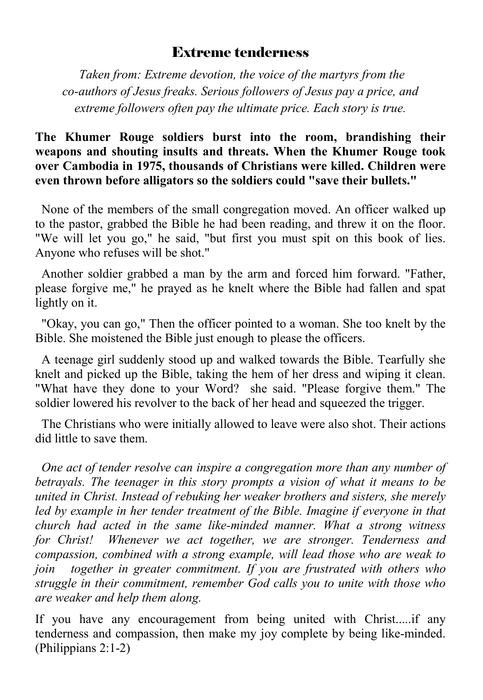#### Extreme tenderness

 *Taken from: Extreme devotion, the voice of the martyrs from the co-authors of Jesus freaks. Serious followers of Jesus pay a price, and extreme followers often pay the ultimate price. Each story is true.*

#### **The Khumer Rouge soldiers burst into the room, brandishing their weapons and shouting insults and threats. When the Khumer Rouge took over Cambodia in 1975, thousands of Christians were killed. Children were even thrown before alligators so the soldiers could "save their bullets."**

None of the members of the small congregation moved. An officer walked up to the pastor, grabbed the Bible he had been reading, and threw it on the floor. "We will let you go," he said, "but first you must spit on this book of lies. Anyone who refuses will be shot."

 Another soldier grabbed a man by the arm and forced him forward. "Father, please forgive me," he prayed as he knelt where the Bible had fallen and spat lightly on it.

 "Okay, you can go," Then the officer pointed to a woman. She too knelt by the Bible. She moistened the Bible just enough to please the officers.

 A teenage girl suddenly stood up and walked towards the Bible. Tearfully she knelt and picked up the Bible, taking the hem of her dress and wiping it clean. "What have they done to your Word? she said. "Please forgive them." The soldier lowered his revolver to the back of her head and squeezed the trigger.

 The Christians who were initially allowed to leave were also shot. Their actions did little to save them.

 *One act of tender resolve can inspire a congregation more than any number of betrayals. The teenager in this story prompts a vision of what it means to be united in Christ. Instead of rebuking her weaker brothers and sisters, she merely*  led by example in her tender treatment of the Bible. Imagine if everyone in that *church had acted in the same like-minded manner. What a strong witness for Christ! Whenever we act together, we are stronger. Tenderness and compassion, combined with a strong example, will lead those who are weak to join together in greater commitment. If you are frustrated with others who struggle in their commitment, remember God calls you to unite with those who are weaker and help them along.* 

If you have any encouragement from being united with Christ.....if any tenderness and compassion, then make my joy complete by being like-minded. (Philippians 2:1-2)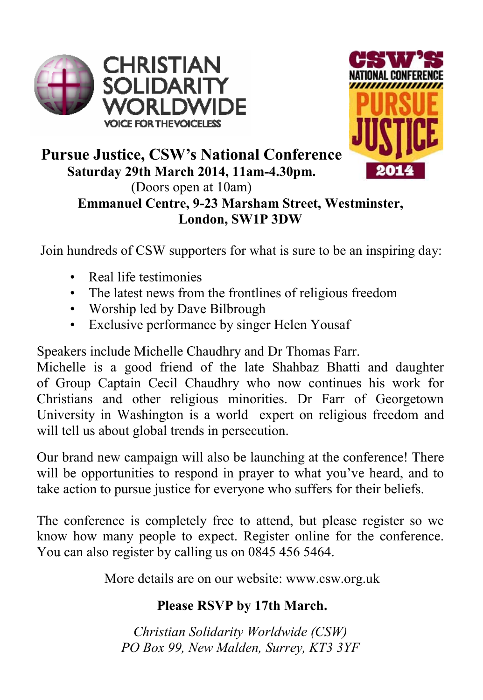



#### **Pursue Justice, CSW's National Conference Saturday 29th March 2014, 11am-4.30pm.**  (Doors open at 10am) **Emmanuel Centre, 9-23 Marsham Street, Westminster, London, SW1P 3DW**

Join hundreds of CSW supporters for what is sure to be an inspiring day:

- Real life testimonies
- The latest news from the frontlines of religious freedom
- Worship led by Dave Bilbrough
- Exclusive performance by singer Helen Yousaf

Speakers include Michelle Chaudhry and Dr Thomas Farr.

Michelle is a good friend of the late Shahbaz Bhatti and daughter of Group Captain Cecil Chaudhry who now continues his work for Christians and other religious minorities. Dr Farr of Georgetown University in Washington is a world expert on religious freedom and will tell us about global trends in persecution.

Our brand new campaign will also be launching at the conference! There will be opportunities to respond in prayer to what you've heard, and to take action to pursue justice for everyone who suffers for their beliefs.

The conference is completely free to attend, but please register so we know how many people to expect. Register online for the conference. You can also register by calling us on 0845 456 5464.

More details are on our website: www.csw.org.uk

#### **Please RSVP by 17th March.**

*Christian Solidarity Worldwide (CSW) PO Box 99, New Malden, Surrey, KT3 3YF*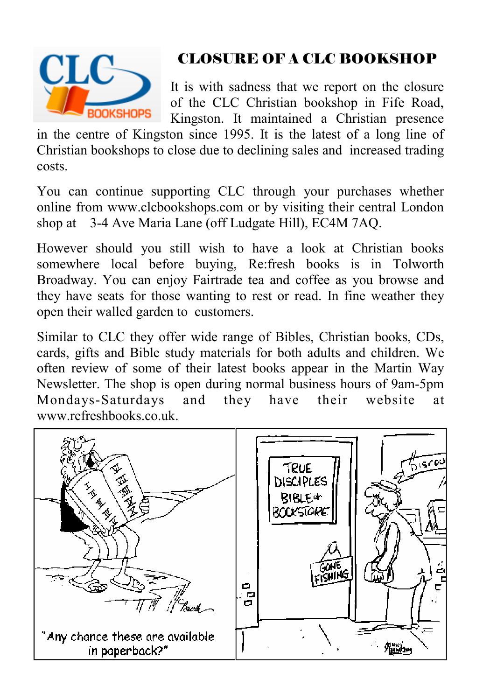

# CLOSURE OF A CLC BOOKSHOP

It is with sadness that we report on the closure of the CLC Christian bookshop in Fife Road, Kingston. It maintained a Christian presence

in the centre of Kingston since 1995. It is the latest of a long line of Christian bookshops to close due to declining sales and increased trading costs.

You can continue supporting CLC through your purchases whether online from www.clcbookshops.com or by visiting their central London shop at 3-4 Ave Maria Lane (off Ludgate Hill), EC4M 7AQ.

However should you still wish to have a look at Christian books somewhere local before buying, Re:fresh books is in Tolworth Broadway. You can enjoy Fairtrade tea and coffee as you browse and they have seats for those wanting to rest or read. In fine weather they open their walled garden to customers.

Similar to CLC they offer wide range of Bibles, Christian books, CDs, cards, gifts and Bible study materials for both adults and children. We often review of some of their latest books appear in the Martin Way Newsletter. The shop is open during normal business hours of 9am-5pm Mondays-Saturdays and they have their website at www.refreshbooks.co.uk.

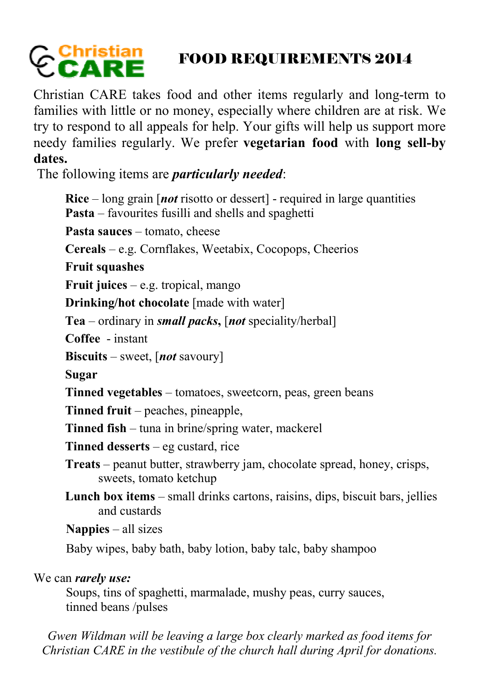# FOOD REQUIREMENTS 2014

Christian CARE takes food and other items regularly and long-term to families with little or no money, especially where children are at risk. We try to respond to all appeals for help. Your gifts will help us support more needy families regularly. We prefer **vegetarian food** with **long sell-by dates.** 

The following items are *particularly needed*:

**Rice** – long grain [*not* risotto or dessert] - required in large quantities **Pasta** – favourites fusilli and shells and spaghetti Pasta sauces – tomato, cheese **Cereals** – e.g. Cornflakes, Weetabix, Cocopops, Cheerios **Fruit squashes Fruit juices** – e.g. tropical, mango **Drinking/hot chocolate** [made with water] **Tea** – ordinary in *small packs***,** [*not* speciality/herbal] **Coffee** - instant **Biscuits** – sweet, [*not* savoury] **Sugar Tinned vegetables** – tomatoes, sweetcorn, peas, green beans **Tinned fruit** – peaches, pineapple, **Tinned fish** – tuna in brine/spring water, mackerel **Tinned desserts** – eg custard, rice **Treats** – peanut butter, strawberry jam, chocolate spread, honey, crisps, sweets, tomato ketchup **Lunch box items** – small drinks cartons, raisins, dips, biscuit bars, jellies and custards **Nappies** – all sizes Baby wipes, baby bath, baby lotion, baby talc, baby shampoo We can *rarely use:* Soups, tins of spaghetti, marmalade, mushy peas, curry sauces,

tinned beans /pulses

*Gwen Wildman will be leaving a large box clearly marked as food items for Christian CARE in the vestibule of the church hall during April for donations.*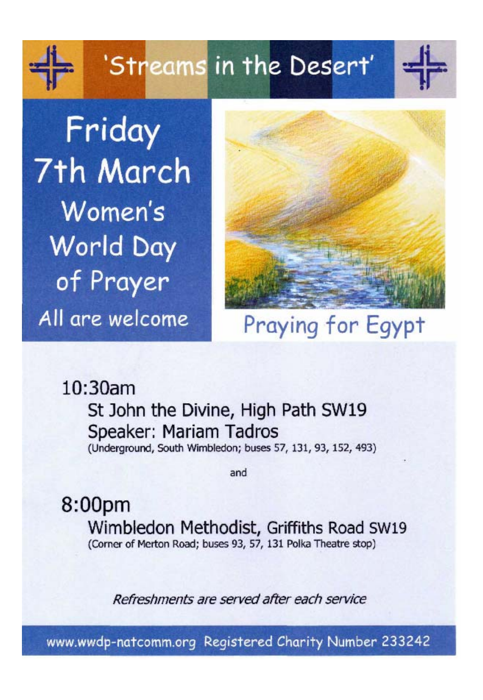'Streams in the Desert'

Friday 7th March Women's **World Day** of Prayer All are welcome



# Praying for Egypt

 $10:30am$ 

St John the Divine, High Path SW19 Speaker: Mariam Tadros (Underground, South Wimbledon; buses 57, 131, 93, 152, 493)

and

8:00pm Wimbledon Methodist, Griffiths Road SW19 (Corner of Merton Road; buses 93, 57, 131 Polka Theatre stop)

Refreshments are served after each service

www.wwdp-natcomm.org Registered Charity Number 233242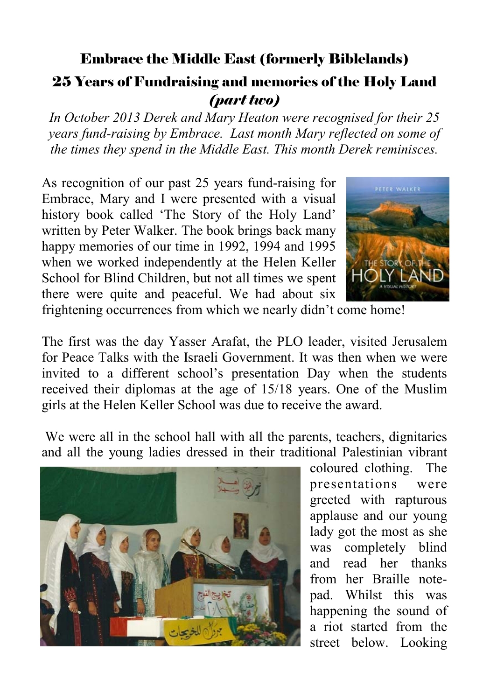#### Embrace the Middle East (formerly Biblelands)

#### 25 Years of Fundraising and memories of the Holy Land *(part two)*

*In October 2013 Derek and Mary Heaton were recognised for their 25 years fund-raising by Embrace. Last month Mary reflected on some of the times they spend in the Middle East. This month Derek reminisces.* 

As recognition of our past 25 years fund-raising for Embrace, Mary and I were presented with a visual history book called 'The Story of the Holy Land' written by Peter Walker. The book brings back many happy memories of our time in 1992, 1994 and 1995 when we worked independently at the Helen Keller School for Blind Children, but not all times we spent there were quite and peaceful. We had about six



frightening occurrences from which we nearly didn't come home!

The first was the day Yasser Arafat, the PLO leader, visited Jerusalem for Peace Talks with the Israeli Government. It was then when we were invited to a different school's presentation Day when the students received their diplomas at the age of 15/18 years. One of the Muslim girls at the Helen Keller School was due to receive the award.

 We were all in the school hall with all the parents, teachers, dignitaries and all the young ladies dressed in their traditional Palestinian vibrant



coloured clothing. The presentations were greeted with rapturous applause and our young lady got the most as she was completely blind and read her thanks from her Braille notepad. Whilst this was happening the sound of a riot started from the street below. Looking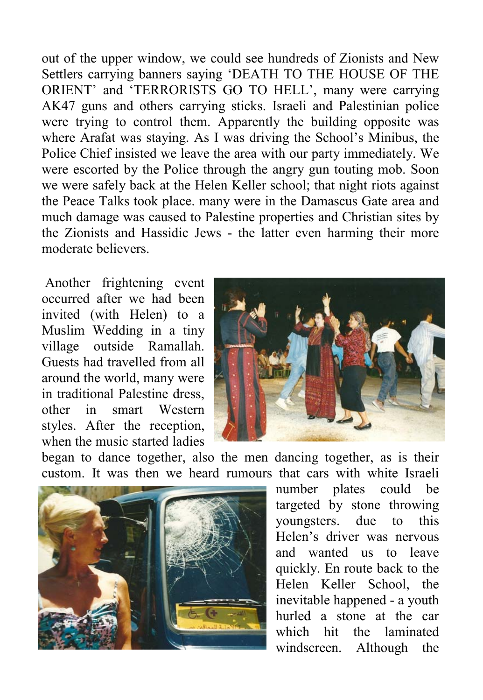out of the upper window, we could see hundreds of Zionists and New Settlers carrying banners saying 'DEATH TO THE HOUSE OF THE ORIENT' and 'TERRORISTS GO TO HELL', many were carrying AK47 guns and others carrying sticks. Israeli and Palestinian police were trying to control them. Apparently the building opposite was where Arafat was staying. As I was driving the School's Minibus, the Police Chief insisted we leave the area with our party immediately. We were escorted by the Police through the angry gun touting mob. Soon we were safely back at the Helen Keller school; that night riots against the Peace Talks took place. many were in the Damascus Gate area and much damage was caused to Palestine properties and Christian sites by the Zionists and Hassidic Jews - the latter even harming their more moderate believers.

 Another frightening event occurred after we had been invited (with Helen) to a Muslim Wedding in a tiny village outside Ramallah. Guests had travelled from all around the world, many were in traditional Palestine dress, other in smart Western styles. After the reception, when the music started ladies



began to dance together, also the men dancing together, as is their custom. It was then we heard rumours that cars with white Israeli



number plates could be targeted by stone throwing youngsters. due to this Helen's driver was nervous and wanted us to leave quickly. En route back to the Helen Keller School, the inevitable happened - a youth hurled a stone at the car which hit the laminated windscreen. Although the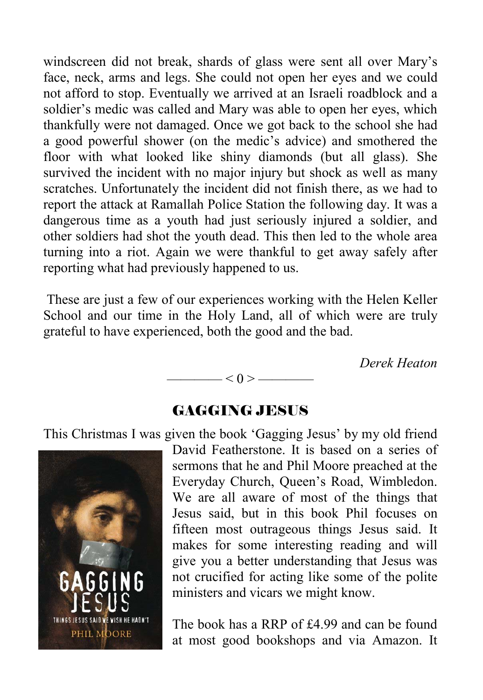windscreen did not break, shards of glass were sent all over Mary's face, neck, arms and legs. She could not open her eyes and we could not afford to stop. Eventually we arrived at an Israeli roadblock and a soldier's medic was called and Mary was able to open her eyes, which thankfully were not damaged. Once we got back to the school she had a good powerful shower (on the medic's advice) and smothered the floor with what looked like shiny diamonds (but all glass). She survived the incident with no major injury but shock as well as many scratches. Unfortunately the incident did not finish there, as we had to report the attack at Ramallah Police Station the following day. It was a dangerous time as a youth had just seriously injured a soldier, and other soldiers had shot the youth dead. This then led to the whole area turning into a riot. Again we were thankful to get away safely after reporting what had previously happened to us.

 These are just a few of our experiences working with the Helen Keller School and our time in the Holy Land, all of which were are truly grateful to have experienced, both the good and the bad.

*Derek Heaton* 

#### $<\hspace{-2.5mm}0\hspace{-2.5mm}>\hspace{2.5mm}-$

#### GAGGING JESUS

This Christmas I was given the book 'Gagging Jesus' by my old friend



David Featherstone. It is based on a series of sermons that he and Phil Moore preached at the Everyday Church, Queen's Road, Wimbledon. We are all aware of most of the things that Jesus said, but in this book Phil focuses on fifteen most outrageous things Jesus said. It makes for some interesting reading and will give you a better understanding that Jesus was not crucified for acting like some of the polite ministers and vicars we might know.

The book has a RRP of £4.99 and can be found at most good bookshops and via Amazon. It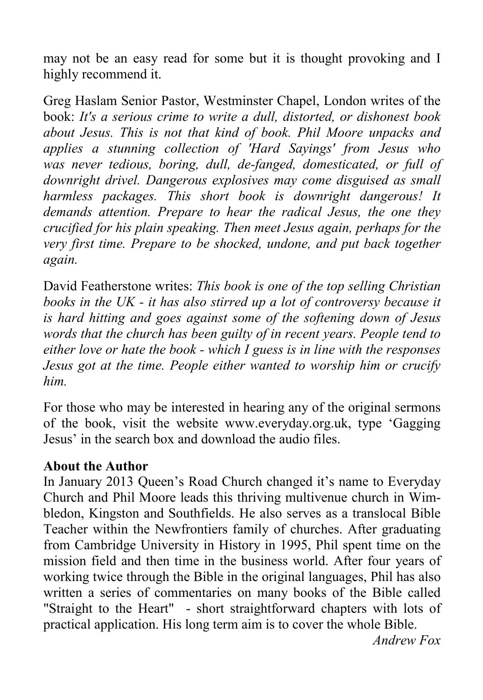may not be an easy read for some but it is thought provoking and I highly recommend it.

Greg Haslam Senior Pastor, Westminster Chapel, London writes of the book: *It's a serious crime to write a dull, distorted, or dishonest book about Jesus. This is not that kind of book. Phil Moore unpacks and applies a stunning collection of 'Hard Sayings' from Jesus who was never tedious, boring, dull, de-fanged, domesticated, or full of downright drivel. Dangerous explosives may come disguised as small harmless packages. This short book is downright dangerous! It demands attention. Prepare to hear the radical Jesus, the one they crucified for his plain speaking. Then meet Jesus again, perhaps for the very first time. Prepare to be shocked, undone, and put back together again.* 

David Featherstone writes: *This book is one of the top selling Christian books in the UK - it has also stirred up a lot of controversy because it is hard hitting and goes against some of the softening down of Jesus words that the church has been guilty of in recent years. People tend to either love or hate the book - which I guess is in line with the responses Jesus got at the time. People either wanted to worship him or crucify him.* 

For those who may be interested in hearing any of the original sermons of the book, visit the website www.everyday.org.uk, type 'Gagging Jesus' in the search box and download the audio files.

#### **About the Author**

In January 2013 Queen's Road Church changed it's name to Everyday Church and Phil Moore leads this thriving multivenue church in Wimbledon, Kingston and Southfields. He also serves as a translocal Bible Teacher within the Newfrontiers family of churches. After graduating from Cambridge University in History in 1995, Phil spent time on the mission field and then time in the business world. After four years of working twice through the Bible in the original languages, Phil has also written a series of commentaries on many books of the Bible called "Straight to the Heart" - short straightforward chapters with lots of practical application. His long term aim is to cover the whole Bible.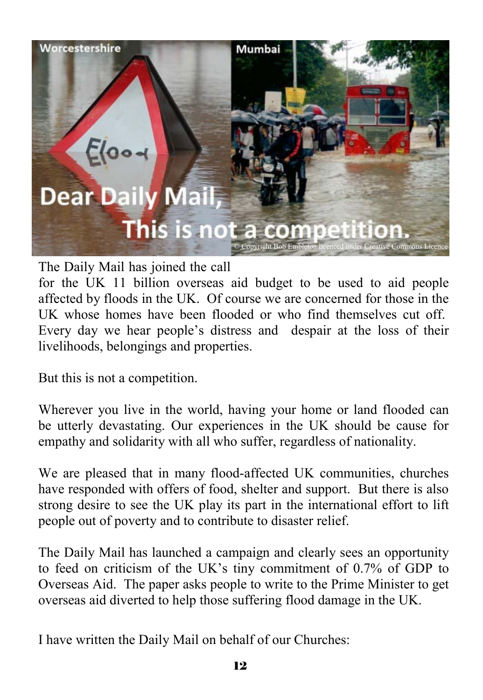

The Daily Mail has joined the call

for the UK 11 billion overseas aid budget to be used to aid people affected by floods in the UK. Of course we are concerned for those in the UK whose homes have been flooded or who find themselves cut off. Every day we hear people's distress and despair at the loss of their livelihoods, belongings and properties.

But this is not a competition.

Wherever you live in the world, having your home or land flooded can be utterly devastating. Our experiences in the UK should be cause for empathy and solidarity with all who suffer, regardless of nationality.

We are pleased that in many flood-affected UK communities, churches have responded with offers of food, shelter and support. But there is also strong desire to see the UK play its part in the international effort to lift people out of poverty and to contribute to disaster relief.

The Daily Mail has launched a campaign and clearly sees an opportunity to feed on criticism of the UK's tiny commitment of 0.7% of GDP to Overseas Aid. The paper asks people to write to the Prime Minister to get overseas aid diverted to help those suffering flood damage in the UK.

I have written the Daily Mail on behalf of our Churches: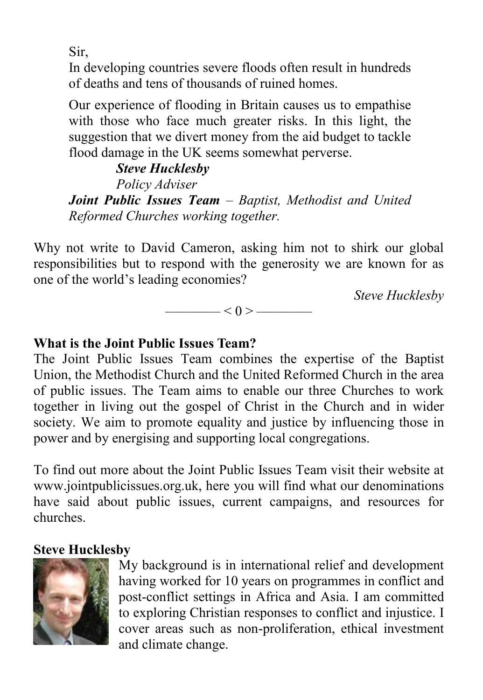Sir,

In developing countries severe floods often result in hundreds of deaths and tens of thousands of ruined homes.

Our experience of flooding in Britain causes us to empathise with those who face much greater risks. In this light, the suggestion that we divert money from the aid budget to tackle flood damage in the UK seems somewhat perverse.

 *Steve Hucklesby Policy Adviser Joint Public Issues Team – Baptist, Methodist and United Reformed Churches working together.* 

Why not write to David Cameron, asking him not to shirk our global responsibilities but to respond with the generosity we are known for as one of the world's leading economies?

*Steve Hucklesby* 

 $< 0 >$  ——

#### **What is the Joint Public Issues Team?**

The Joint Public Issues Team combines the expertise of the Baptist Union, the Methodist Church and the United Reformed Church in the area of public issues. The Team aims to enable our three Churches to work together in living out the gospel of Christ in the Church and in wider society. We aim to promote equality and justice by influencing those in power and by energising and supporting local congregations.

To find out more about the Joint Public Issues Team visit their website at www.jointpublicissues.org.uk, here you will find what our denominations have said about public issues, current campaigns, and resources for churches.

#### **Steve Hucklesby**



My background is in international relief and development having worked for 10 years on programmes in conflict and post-conflict settings in Africa and Asia. I am committed to exploring Christian responses to conflict and injustice. I cover areas such as non-proliferation, ethical investment and climate change.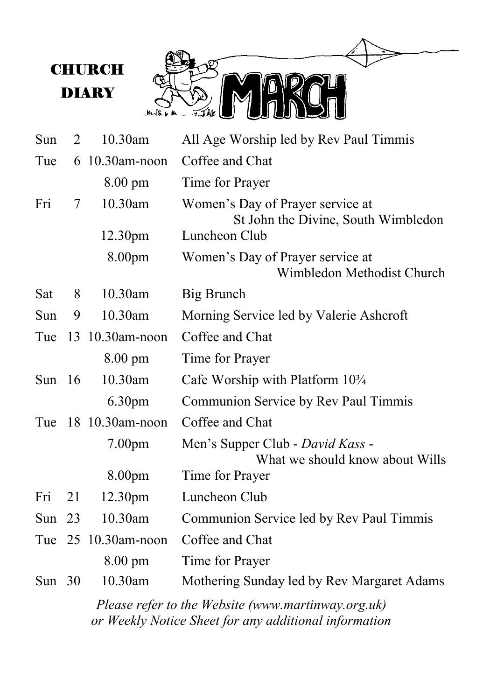

| Sun      | 2  | 10.30am             | All Age Worship led by Rev Paul Timmis                                  |
|----------|----|---------------------|-------------------------------------------------------------------------|
| Tue      | 6  | 10.30am-noon        | Coffee and Chat                                                         |
|          |    | 8.00 pm             | Time for Prayer                                                         |
| Fri      | 7  | 10.30am             | Women's Day of Prayer service at<br>St John the Divine, South Wimbledon |
|          |    | 12.30pm             | Luncheon Club                                                           |
|          |    | 8.00pm              | Women's Day of Prayer service at<br>Wimbledon Methodist Church          |
| Sat      | 8  | 10.30am             | Big Brunch                                                              |
| Sun      | 9  | 10.30am             | Morning Service led by Valerie Ashcroft                                 |
| Tue      | 13 | $10.30$ am-noon     | Coffee and Chat                                                         |
|          |    | 8.00 pm             | Time for Prayer                                                         |
| Sun $16$ |    | 10.30am             | Cafe Worship with Platform $10\frac{3}{4}$                              |
|          |    | 6.30 <sub>pm</sub>  | Communion Service by Rev Paul Timmis                                    |
| Tue      |    | 18 10.30am-noon     | Coffee and Chat                                                         |
|          |    | 7.00 <sub>pm</sub>  | Men's Supper Club - David Kass -<br>What we should know about Wills     |
|          |    | 8.00pm              | Time for Prayer                                                         |
| Fri      | 21 | 12.30pm             | Luncheon Club                                                           |
| Sun      | 23 | 10.30am             | Communion Service led by Rev Paul Timmis                                |
|          |    | Tue 25 10.30am-noon | Coffee and Chat                                                         |
|          |    | $8.00 \text{ pm}$   | Time for Prayer                                                         |
| Sun $30$ |    | 10.30am             | Mothering Sunday led by Rev Margaret Adams                              |

*Please refer to the Website (www.martinway.org.uk) or Weekly Notice Sheet for any additional information*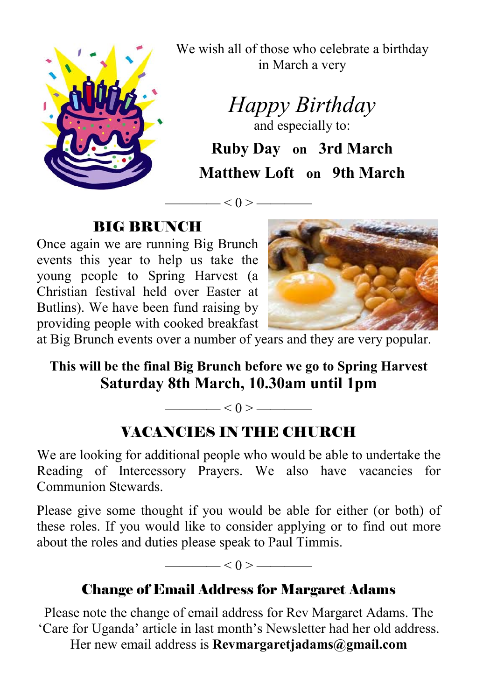

We wish all of those who celebrate a birthday in March a very

*Happy Birthday* 

and especially to: **Ruby Day on 3rd March Matthew Loft on 9th March** 

 $-$  < 0 > —

## BIG BRUNCH

Once again we are running Big Brunch events this year to help us take the young people to Spring Harvest (a Christian festival held over Easter at Butlins). We have been fund raising by providing people with cooked breakfast



at Big Brunch events over a number of years and they are very popular.

# **This will be the final Big Brunch before we go to Spring Harvest Saturday 8th March, 10.30am until 1pm**

 $\leq 0$  >  $\leq$ 

# VACANCIES IN THE CHURCH

We are looking for additional people who would be able to undertake the Reading of Intercessory Prayers. We also have vacancies for Communion Stewards.

Please give some thought if you would be able for either (or both) of these roles. If you would like to consider applying or to find out more about the roles and duties please speak to Paul Timmis.

 $<$  0 >  $-$ 

# Change of Email Address for Margaret Adams

Please note the change of email address for Rev Margaret Adams. The 'Care for Uganda' article in last month's Newsletter had her old address.

Her new email address is **Revmargaretjadams@gmail.com**